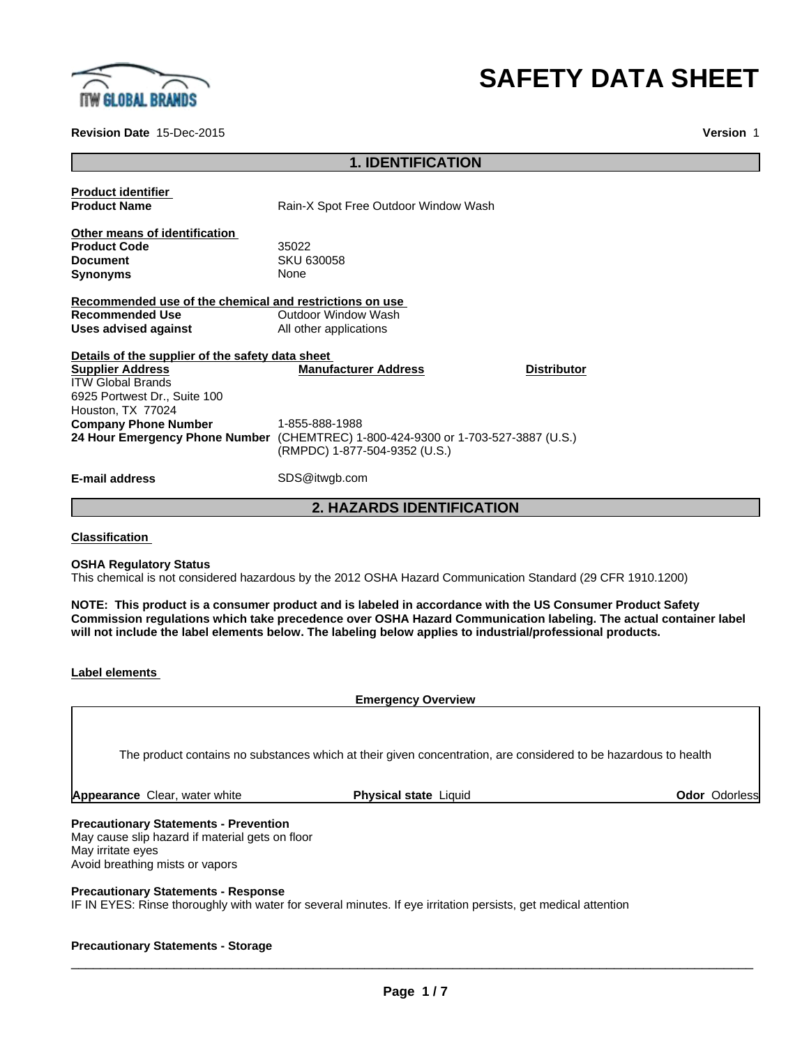

# **SAFETY DATA SHEET**

**Revision Date** 15-Dec-2015 **Version** 1

#### **1. IDENTIFICATION**

| <b>Product identifier</b><br><b>Product Name</b>                                                         | Rain-X Spot Free Outdoor Window Wash                                                                                                 |                    |
|----------------------------------------------------------------------------------------------------------|--------------------------------------------------------------------------------------------------------------------------------------|--------------------|
| Other means of identification<br><b>Product Code</b>                                                     | 35022                                                                                                                                |                    |
| Document<br>Synonyms                                                                                     | SKU 630058<br>None                                                                                                                   |                    |
| Recommended use of the chemical and restrictions on use                                                  |                                                                                                                                      |                    |
| <b>Recommended Use</b>                                                                                   | Outdoor Window Wash                                                                                                                  |                    |
| Uses advised against                                                                                     | All other applications                                                                                                               |                    |
| Details of the supplier of the safety data sheet                                                         |                                                                                                                                      |                    |
| <b>Supplier Address</b><br><b>ITW Global Brands</b><br>6925 Portwest Dr., Suite 100<br>Houston, TX 77024 | <b>Manufacturer Address</b>                                                                                                          | <b>Distributor</b> |
| Company Phone Number                                                                                     | 1-855-888-1988<br>24 Hour Emergency Phone Number (CHEMTREC) 1-800-424-9300 or 1-703-527-3887 (U.S.)<br>(RMPDC) 1-877-504-9352 (U.S.) |                    |
| E-mail address                                                                                           | SDS@itwgb.com                                                                                                                        |                    |

**2. HAZARDS IDENTIFICATION**

**Classification**

**OSHA Regulatory Status**

This chemical is not considered hazardous by the 2012 OSHA Hazard Communication Standard (29 CFR 1910.1200)

NOTE: This product is a consumer product and is labeled in accordance with the US Consumer Product Safety **Commission regulations which take precedence over OSHA Hazard Communication labeling. The actual container label will not include the label elements below. The labeling below applies to industrial/professional products.**

**Emergency Overview**

The product contains no substances which at their given concentration, are considered to be hazardous to health

**Appearance** Clear, water white **Physical state** Liquid **Clearer Clear Odor Base Odor Odorless** 

#### **Precautionary Statements - Prevention**

May cause slip hazard if material gets on floor May irritate eyes Avoid breathing mists or vapors

#### **Precautionary Statements - Response**

IF IN EYES: Rinse thoroughly with water for several minutes. If eye irritation persists, get medical attention

#### **Precautionary Statements - Storage**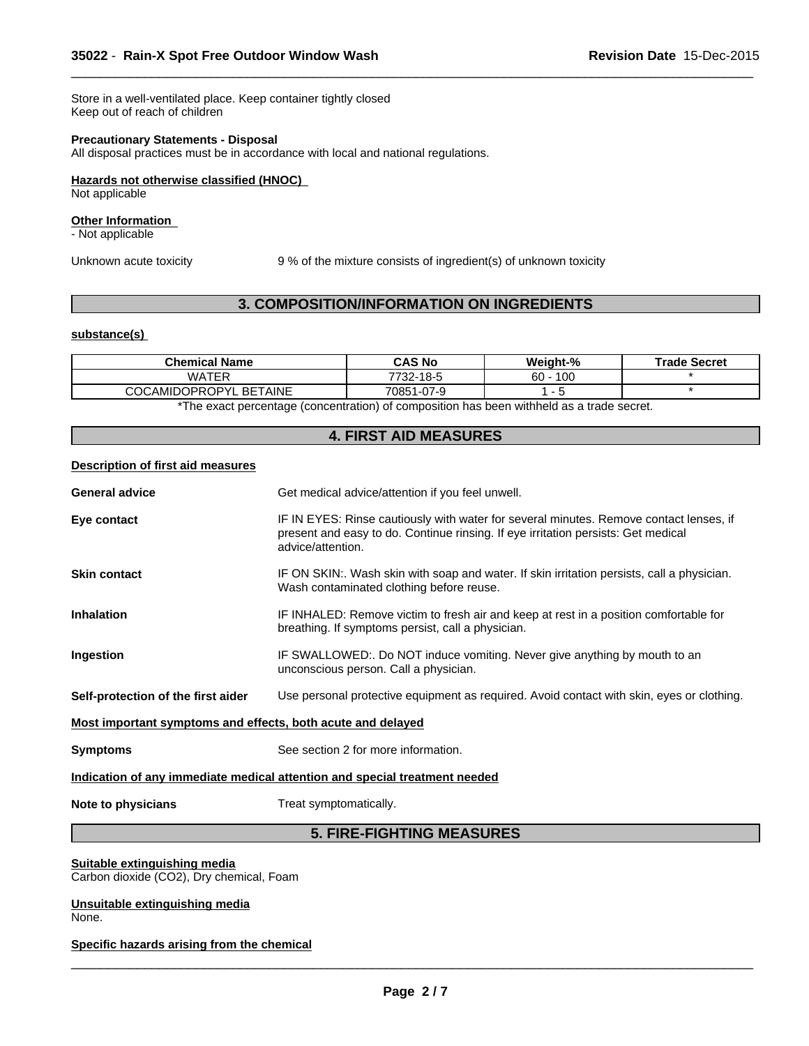Store in a well-ventilated place. Keep container tightly closed Keep out of reach of children

#### **Precautionary Statements - Disposal**

All disposal practices must be in accordance with local and national regulations.

#### **Hazards not otherwise classified (HNOC)**

Not applicable

#### **Other Information**

- Not applicable

Unknown acute toxicity 9% of the mixture consists of ingredient(s) of unknown toxicity

 $\overline{\phantom{a}}$  ,  $\overline{\phantom{a}}$  ,  $\overline{\phantom{a}}$  ,  $\overline{\phantom{a}}$  ,  $\overline{\phantom{a}}$  ,  $\overline{\phantom{a}}$  ,  $\overline{\phantom{a}}$  ,  $\overline{\phantom{a}}$  ,  $\overline{\phantom{a}}$  ,  $\overline{\phantom{a}}$  ,  $\overline{\phantom{a}}$  ,  $\overline{\phantom{a}}$  ,  $\overline{\phantom{a}}$  ,  $\overline{\phantom{a}}$  ,  $\overline{\phantom{a}}$  ,  $\overline{\phantom{a}}$ 

## **3. COMPOSITION/INFORMATION ON INGREDIENTS**

#### **substance(s)**

| Chemical Name                      | CAS No     | Weight-%  | <b>Trade Secret</b> |
|------------------------------------|------------|-----------|---------------------|
| <b>WATER</b>                       | 7732-18-5  | 100<br>60 |                     |
| <b>COCAMIDOPROPYL</b><br>. BETAINE | 70851-07-9 |           |                     |

\*The exact percentage (concentration) of composition has been withheld as a trade secret.

## **4. FIRST AID MEASURES**

#### **Description of first aid measures**

| <b>General advice</b>                                                      | Get medical advice/attention if you feel unwell.                                                                                                                                                 |  |
|----------------------------------------------------------------------------|--------------------------------------------------------------------------------------------------------------------------------------------------------------------------------------------------|--|
| Eye contact                                                                | IF IN EYES: Rinse cautiously with water for several minutes. Remove contact lenses, if<br>present and easy to do. Continue rinsing. If eye irritation persists: Get medical<br>advice/attention. |  |
| <b>Skin contact</b>                                                        | IF ON SKIN:. Wash skin with soap and water. If skin irritation persists, call a physician.<br>Wash contaminated clothing before reuse.                                                           |  |
| <b>Inhalation</b>                                                          | IF INHALED: Remove victim to fresh air and keep at rest in a position comfortable for<br>breathing. If symptoms persist, call a physician.                                                       |  |
| Ingestion                                                                  | IF SWALLOWED:. Do NOT induce vomiting. Never give anything by mouth to an<br>unconscious person. Call a physician.                                                                               |  |
| Self-protection of the first aider                                         | Use personal protective equipment as required. Avoid contact with skin, eyes or clothing.                                                                                                        |  |
| Most important symptoms and effects, both acute and delayed                |                                                                                                                                                                                                  |  |
| <b>Symptoms</b>                                                            | See section 2 for more information.                                                                                                                                                              |  |
| Indication of any immediate medical attention and special treatment needed |                                                                                                                                                                                                  |  |
| Note to physicians                                                         | Treat symptomatically.                                                                                                                                                                           |  |

## **5. FIRE-FIGHTING MEASURES**

#### **Suitable extinguishing media** Carbon dioxide (CO2), Dry chemical, Foam

**Unsuitable extinguishing media** None.

### **Specific hazards arising from the chemical**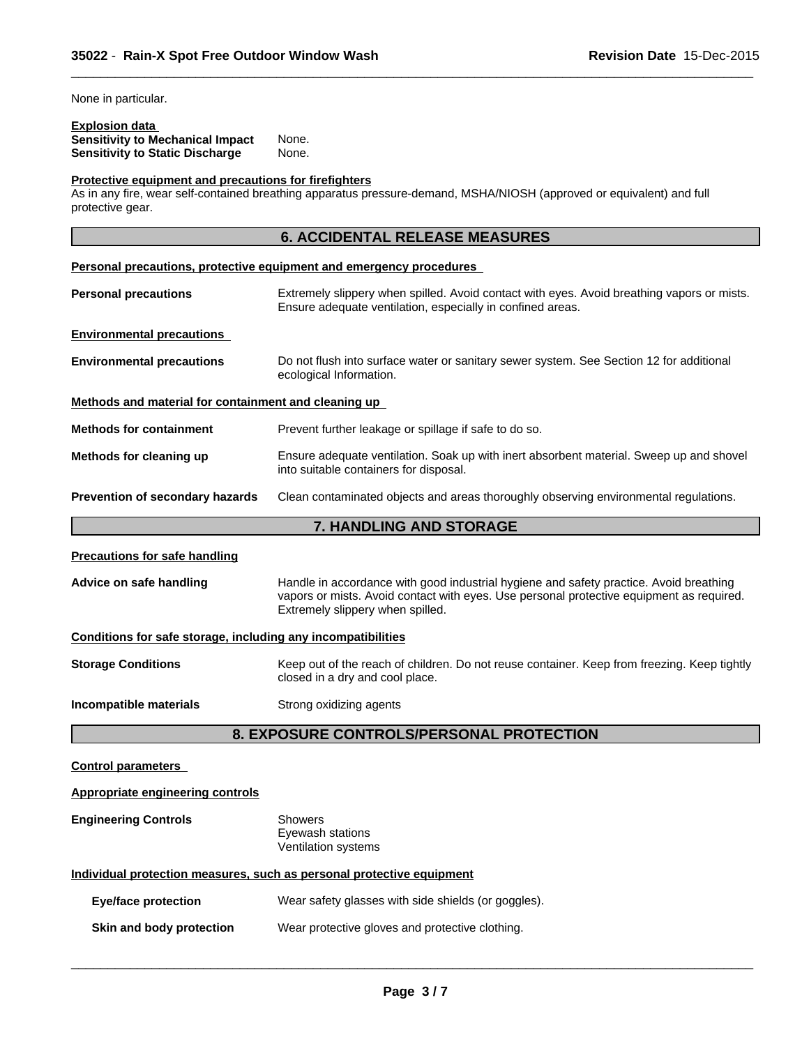None in particular.

## **Explosion data**

**Sensitivity to Mechanical Impact** None. **Sensitivity to Static Discharge** None.

#### **Protective equipment and precautions for firefighters**

As in any fire, wear self-contained breathing apparatus pressure-demand, MSHA/NIOSH (approved or equivalent) and full protective gear.

## **6. ACCIDENTAL RELEASE MEASURES**

 $\overline{\phantom{a}}$  ,  $\overline{\phantom{a}}$  ,  $\overline{\phantom{a}}$  ,  $\overline{\phantom{a}}$  ,  $\overline{\phantom{a}}$  ,  $\overline{\phantom{a}}$  ,  $\overline{\phantom{a}}$  ,  $\overline{\phantom{a}}$  ,  $\overline{\phantom{a}}$  ,  $\overline{\phantom{a}}$  ,  $\overline{\phantom{a}}$  ,  $\overline{\phantom{a}}$  ,  $\overline{\phantom{a}}$  ,  $\overline{\phantom{a}}$  ,  $\overline{\phantom{a}}$  ,  $\overline{\phantom{a}}$ 

|                                                              | Personal precautions, protective equipment and emergency procedures                                                                                                                                                    |  |  |
|--------------------------------------------------------------|------------------------------------------------------------------------------------------------------------------------------------------------------------------------------------------------------------------------|--|--|
| <b>Personal precautions</b>                                  | Extremely slippery when spilled. Avoid contact with eyes. Avoid breathing vapors or mists.<br>Ensure adequate ventilation, especially in confined areas.                                                               |  |  |
| <b>Environmental precautions</b>                             |                                                                                                                                                                                                                        |  |  |
| <b>Environmental precautions</b>                             | Do not flush into surface water or sanitary sewer system. See Section 12 for additional<br>ecological Information.                                                                                                     |  |  |
| Methods and material for containment and cleaning up         |                                                                                                                                                                                                                        |  |  |
| <b>Methods for containment</b>                               | Prevent further leakage or spillage if safe to do so.                                                                                                                                                                  |  |  |
| Methods for cleaning up                                      | Ensure adequate ventilation. Soak up with inert absorbent material. Sweep up and shovel<br>into suitable containers for disposal.                                                                                      |  |  |
| Prevention of secondary hazards                              | Clean contaminated objects and areas thoroughly observing environmental regulations.                                                                                                                                   |  |  |
|                                                              | <b>7. HANDLING AND STORAGE</b>                                                                                                                                                                                         |  |  |
| <b>Precautions for safe handling</b>                         |                                                                                                                                                                                                                        |  |  |
| Advice on safe handling                                      | Handle in accordance with good industrial hygiene and safety practice. Avoid breathing<br>vapors or mists. Avoid contact with eyes. Use personal protective equipment as required.<br>Extremely slippery when spilled. |  |  |
| Conditions for safe storage, including any incompatibilities |                                                                                                                                                                                                                        |  |  |
| <b>Storage Conditions</b>                                    | Keep out of the reach of children. Do not reuse container. Keep from freezing. Keep tightly<br>closed in a dry and cool place.                                                                                         |  |  |
| Incompatible materials                                       | Strong oxidizing agents                                                                                                                                                                                                |  |  |
|                                                              | 8. EXPOSURE CONTROLS/PERSONAL PROTECTION                                                                                                                                                                               |  |  |
| <b>Control parameters</b>                                    |                                                                                                                                                                                                                        |  |  |

## **Engineering Controls** Showers Eyewash stations Ventilation systems

**Appropriate engineering controls**

**Individual protection measures, such as personal protective equipment**

| Eye/face protection      | Wear safety glasses with side shields (or goggles). |
|--------------------------|-----------------------------------------------------|
| Skin and body protection | Wear protective gloves and protective clothing.     |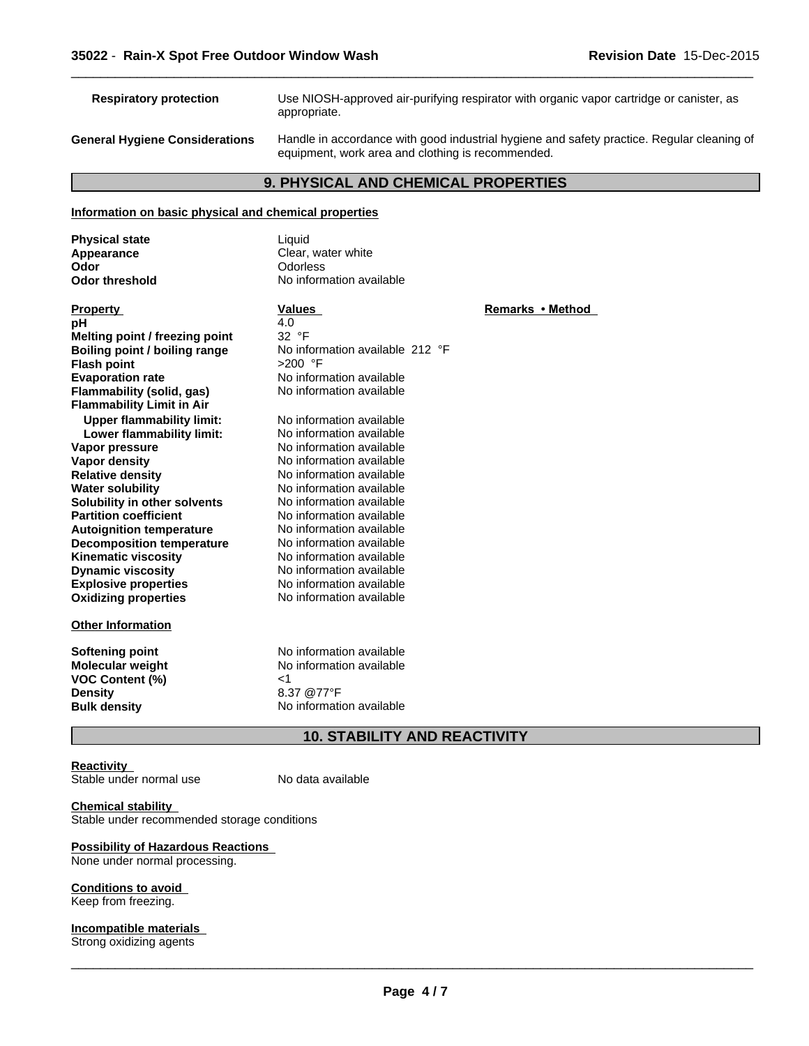**Respiratory protection** Use NIOSH-approved air-purifying respirator with organic vapor cartridge or canister, as appropriate.

 $\overline{\phantom{a}}$  ,  $\overline{\phantom{a}}$  ,  $\overline{\phantom{a}}$  ,  $\overline{\phantom{a}}$  ,  $\overline{\phantom{a}}$  ,  $\overline{\phantom{a}}$  ,  $\overline{\phantom{a}}$  ,  $\overline{\phantom{a}}$  ,  $\overline{\phantom{a}}$  ,  $\overline{\phantom{a}}$  ,  $\overline{\phantom{a}}$  ,  $\overline{\phantom{a}}$  ,  $\overline{\phantom{a}}$  ,  $\overline{\phantom{a}}$  ,  $\overline{\phantom{a}}$  ,  $\overline{\phantom{a}}$ 

**General Hygiene Considerations** Handle in accordance with good industrial hygiene and safety practice. Regular cleaning of equipment, work area and clothing is recommended.

#### **9. PHYSICAL AND CHEMICAL PROPERTIES**

#### **Information on basic physical and chemical properties**

| <b>Physical state</b> | Liauid                   |
|-----------------------|--------------------------|
| Appearance            | Clear, water white       |
| Odor                  | Odorless                 |
| Odor threshold        | No information available |

**Explosive properties**<br> **Oxidizing properties**<br>
No information available **pH** 4.0 **Melting point / freezing point** 32 °F<br> **Boiling point / boiling range** Mo information available 212 °F **Boiling point / boiling range No inform<br><b>Flash point**  $>200$  °F **Flash point<br>Evaporation rate Flammability** (solid, gas) **Flammability Limit in Air Upper flammability limit:** No information available **Lower flammability limit:** No information available **Vapor pressure No information available**<br> **Vapor density No information available Vapor density**<br> **Relative density**<br> **Relative density**<br> **No information available Water solubility** No information available **Solubility in other solvents** No information available **Partition coefficient** No information available **Autoignition temperature No information available**<br> **Decomposition temperature No information available Decomposition temperature Kinematic viscosity** No information available **Dynamic viscosity** No information available

#### **Other Information**

**Softening point** No information available **VOC Content (%)** <1 **Density** 8.37 @77°F<br> **Bulk density** 6.37 Mo information

## water white **Ormation** available

**Oxidizing properties** No information available No information available<br>No information available **Relative density** No information available

**Property Construction Construction Values Construction Construction Remarks • Method** 

**Molecular weight** No information available **No information available** 

#### **10. STABILITY AND REACTIVITY**

#### **Reactivity**

Stable under normal use

No data available

#### **Chemical stability**

Stable under recommended storage conditions

#### **Possibility of Hazardous Reactions**

None under normal processing.

#### **Conditions to avoid**

Keep from freezing.

**Incompatible materials** Strong oxidizing agents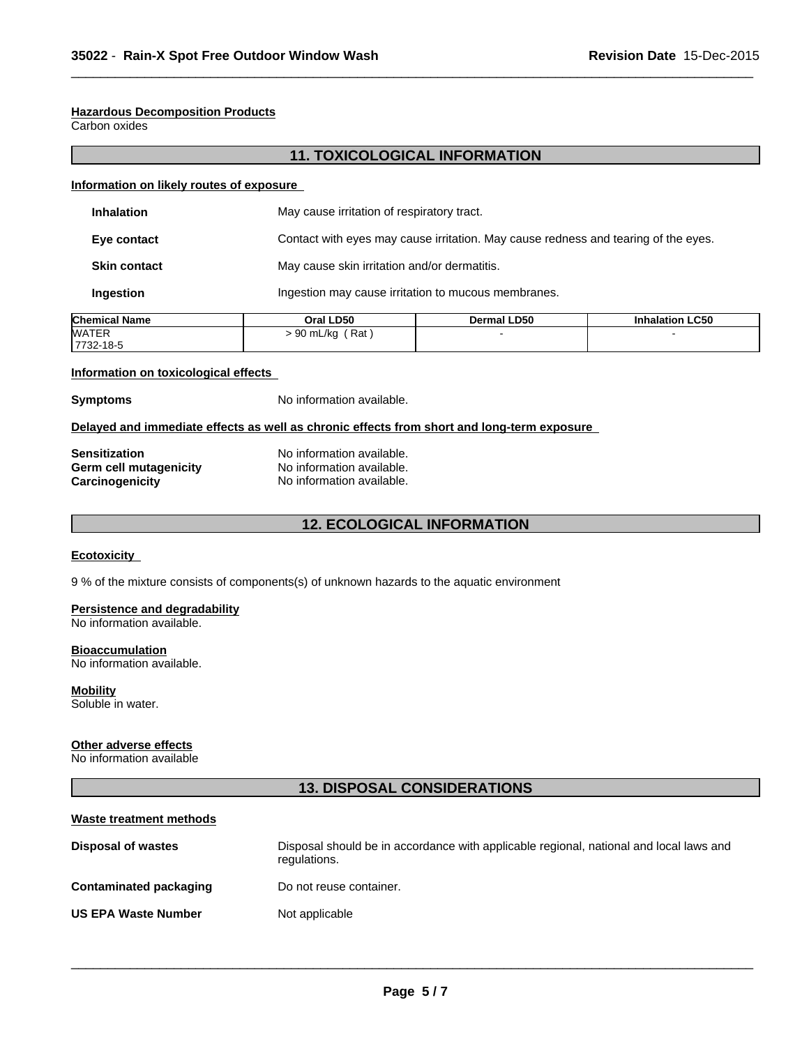#### **Hazardous Decomposition Products**

Carbon oxides

## **11. TOXICOLOGICAL INFORMATION**

 $\overline{\phantom{a}}$  ,  $\overline{\phantom{a}}$  ,  $\overline{\phantom{a}}$  ,  $\overline{\phantom{a}}$  ,  $\overline{\phantom{a}}$  ,  $\overline{\phantom{a}}$  ,  $\overline{\phantom{a}}$  ,  $\overline{\phantom{a}}$  ,  $\overline{\phantom{a}}$  ,  $\overline{\phantom{a}}$  ,  $\overline{\phantom{a}}$  ,  $\overline{\phantom{a}}$  ,  $\overline{\phantom{a}}$  ,  $\overline{\phantom{a}}$  ,  $\overline{\phantom{a}}$  ,  $\overline{\phantom{a}}$ 

#### **Information on likely routes of exposure**

| <b>Inhalation</b>   | May cause irritation of respiratory tract.                                         |
|---------------------|------------------------------------------------------------------------------------|
| Eye contact         | Contact with eyes may cause irritation. May cause redness and tearing of the eyes. |
| <b>Skin contact</b> | May cause skin irritation and/or dermatitis.                                       |
| Ingestion           | Ingestion may cause irritation to mucous membranes.                                |

| lChemical Name | <b>Dral LD50</b>  | Dermal LD50 | <b>Inhalation LC50</b> |
|----------------|-------------------|-------------|------------------------|
| WATER          | ′ Rat<br>90 mL/kg |             |                        |
| 7732-18-5      |                   |             |                        |

#### **Information on toxicological effects**

**Symptoms** No information available.

#### **Delayed and immediate effects as well as chronic effects from short and long-term exposure**

| <b>Sensitization</b>   | No information available. |
|------------------------|---------------------------|
| Germ cell mutagenicity | No information available. |
| <b>Carcinogenicity</b> | No information available. |

## **12. ECOLOGICAL INFORMATION**

#### **Ecotoxicity**

9 % of the mixture consists of components(s) of unknown hazards to the aquatic environment

#### **Persistence and degradability**

No information available.

#### **Bioaccumulation**

No information available.

#### **Mobility**

Soluble in water.

## **Other adverse effects**

No information available

## **13. DISPOSAL CONSIDERATIONS**

| Waste treatment methods    |                                                                                                        |
|----------------------------|--------------------------------------------------------------------------------------------------------|
| <b>Disposal of wastes</b>  | Disposal should be in accordance with applicable regional, national and local laws and<br>regulations. |
| Contaminated packaging     | Do not reuse container.                                                                                |
| <b>US EPA Waste Number</b> | Not applicable                                                                                         |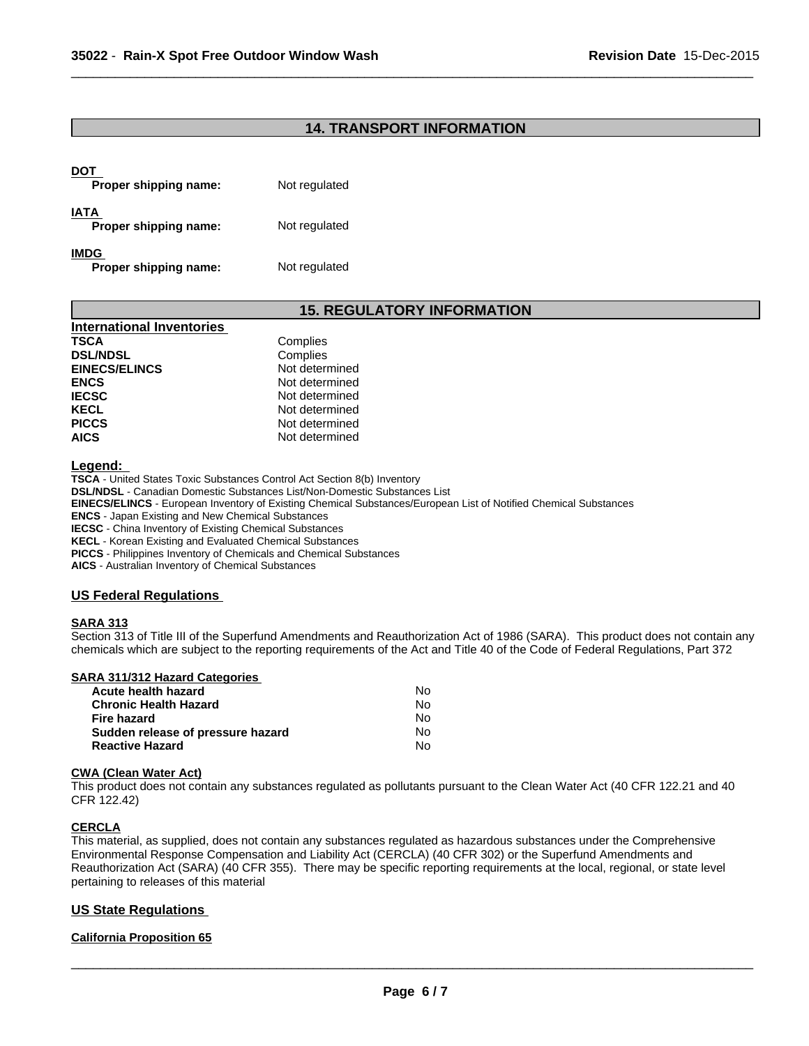## **14. TRANSPORT INFORMATION**

 $\overline{\phantom{a}}$  ,  $\overline{\phantom{a}}$  ,  $\overline{\phantom{a}}$  ,  $\overline{\phantom{a}}$  ,  $\overline{\phantom{a}}$  ,  $\overline{\phantom{a}}$  ,  $\overline{\phantom{a}}$  ,  $\overline{\phantom{a}}$  ,  $\overline{\phantom{a}}$  ,  $\overline{\phantom{a}}$  ,  $\overline{\phantom{a}}$  ,  $\overline{\phantom{a}}$  ,  $\overline{\phantom{a}}$  ,  $\overline{\phantom{a}}$  ,  $\overline{\phantom{a}}$  ,  $\overline{\phantom{a}}$ 

| DOT<br>Proper shipping name:         | Not regulated |
|--------------------------------------|---------------|
| IATA<br>Proper shipping name:        | Not regulated |
| <b>IMDG</b><br>Proper shipping name: | Not regulated |

## **15. REGULATORY INFORMATION**

| <b>International Inventories</b> |                |
|----------------------------------|----------------|
| TSCA                             | Complies       |
| <b>DSL/NDSL</b>                  | Complies       |
| <b>EINECS/ELINCS</b>             | Not determined |
| <b>ENCS</b>                      | Not determined |
| <b>IECSC</b>                     | Not determined |
| KECL                             | Not determined |
| <b>PICCS</b>                     | Not determined |
| AICS                             | Not determined |

**Legend:** 

**TSCA** - United States Toxic Substances Control Act Section 8(b) Inventory **DSL/NDSL** - Canadian Domestic Substances List/Non-Domestic Substances List **EINECS/ELINCS** - European Inventory of Existing Chemical Substances/European List of Notified Chemical Substances **ENCS** - Japan Existing and New Chemical Substances **IECSC** - China Inventory of Existing Chemical Substances

**KECL** - Korean Existing and Evaluated Chemical Substances

**PICCS** - Philippines Inventory of Chemicals and Chemical Substances

**AICS** - Australian Inventory of Chemical Substances

#### **US Federal Regulations**

#### **SARA 313**

Section 313 of Title III of the Superfund Amendments and Reauthorization Act of 1986 (SARA). This product does not contain any chemicals which are subject to the reporting requirements of the Act and Title 40 of the Code of Federal Regulations, Part 372

| SARA 311/312 Hazard Categories    |    |  |
|-----------------------------------|----|--|
| Acute health hazard               | N٥ |  |
| <b>Chronic Health Hazard</b>      | Nο |  |
| Fire hazard                       | Nο |  |
| Sudden release of pressure hazard | No |  |
| <b>Reactive Hazard</b>            | N٥ |  |

#### **CWA** (Clean Water Act)

This product does not contain any substances regulated as pollutants pursuant to the Clean Water Act (40 CFR 122.21 and 40 CFR 122.42)

#### **CERCLA**

This material, as supplied, does not contain any substances regulated as hazardous substances under the Comprehensive Environmental Response Compensation and Liability Act (CERCLA) (40 CFR 302) or the Superfund Amendments and Reauthorization Act (SARA) (40 CFR 355). There may be specific reporting requirements at the local, regional, or state level pertaining to releases of this material

#### **US State Regulations**

#### **California Proposition 65**